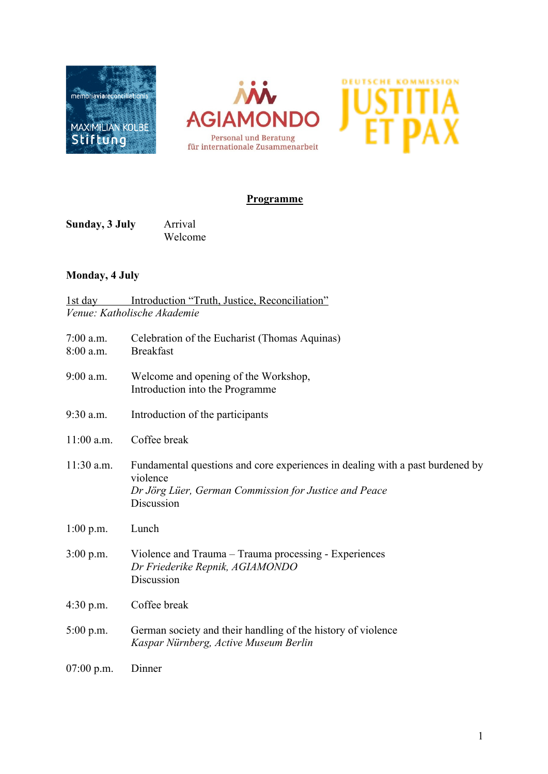





#### **Programme**

**Sunday, 3 July** Arrival Welcome

# **Monday, 4 July**

| 1st day      | Introduction "Truth, Justice, Reconciliation"                                                                                                                    |
|--------------|------------------------------------------------------------------------------------------------------------------------------------------------------------------|
|              | Venue: Katholische Akademie                                                                                                                                      |
| 7:00 a.m.    | Celebration of the Eucharist (Thomas Aquinas)                                                                                                                    |
| 8:00 a.m.    | <b>Breakfast</b>                                                                                                                                                 |
| 9:00 a.m.    | Welcome and opening of the Workshop,<br>Introduction into the Programme                                                                                          |
| 9:30 a.m.    | Introduction of the participants                                                                                                                                 |
| 11:00 a.m.   | Coffee break                                                                                                                                                     |
| 11:30 a.m.   | Fundamental questions and core experiences in dealing with a past burdened by<br>violence<br>Dr Jörg Lüer, German Commission for Justice and Peace<br>Discussion |
| $1:00$ p.m.  | Lunch                                                                                                                                                            |
| $3:00$ p.m.  | Violence and Trauma - Trauma processing - Experiences<br>Dr Friederike Repnik, AGIAMONDO<br>Discussion                                                           |
| $4:30$ p.m.  | Coffee break                                                                                                                                                     |
| $5:00$ p.m.  | German society and their handling of the history of violence<br>Kaspar Nürnberg, Active Museum Berlin                                                            |
| $07:00$ p.m. | Dinner                                                                                                                                                           |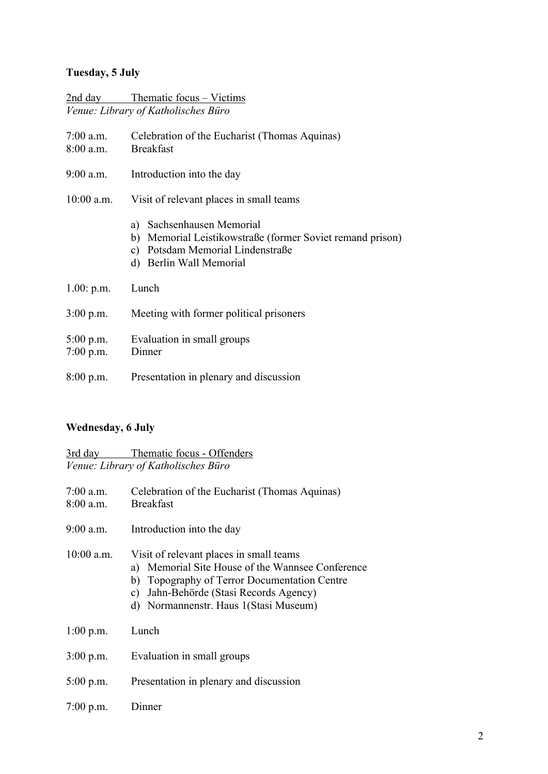# **Tuesday, 5 July**

|                            | <u>2nd day Thematic focus – Victims</u>                                                                                                               |
|----------------------------|-------------------------------------------------------------------------------------------------------------------------------------------------------|
|                            | Venue: Library of Katholisches Büro                                                                                                                   |
| $7:00$ a.m.<br>$8:00$ a.m. | Celebration of the Eucharist (Thomas Aquinas)<br><b>Breakfast</b>                                                                                     |
| $9:00$ a.m.                | Introduction into the day                                                                                                                             |
| $10:00$ a.m.               | Visit of relevant places in small teams                                                                                                               |
|                            | a) Sachsenhausen Memorial<br>b) Memorial Leistikowstraße (former Soviet remand prison)<br>c) Potsdam Memorial Lindenstraße<br>d) Berlin Wall Memorial |
| $1.00:$ p.m.               | Lunch                                                                                                                                                 |
| $3:00$ p.m.                | Meeting with former political prisoners                                                                                                               |
| $5:00$ p.m.<br>$7:00$ p.m. | Evaluation in small groups<br>Dinner                                                                                                                  |
| 8:00 p.m.                  | Presentation in plenary and discussion                                                                                                                |

# **Wednesday, 6 July**

3rd day Thematic focus - Offenders *Venue: Library of Katholisches Büro*

| $7:00$ a.m.<br>$8:00$ a.m. | Celebration of the Eucharist (Thomas Aquinas)<br><b>Breakfast</b>                                                                                                                                                                 |
|----------------------------|-----------------------------------------------------------------------------------------------------------------------------------------------------------------------------------------------------------------------------------|
| $9:00$ a.m.                | Introduction into the day                                                                                                                                                                                                         |
| $10:00$ a.m.               | Visit of relevant places in small teams<br>a) Memorial Site House of the Wannsee Conference<br>b) Topography of Terror Documentation Centre<br>Jahn-Behörde (Stasi Records Agency)<br>c)<br>d) Normannenstr. Haus 1(Stasi Museum) |
| $1:00$ p.m.                | Lunch                                                                                                                                                                                                                             |
| $3:00$ p.m.                | Evaluation in small groups                                                                                                                                                                                                        |
| $5:00$ p.m.                | Presentation in plenary and discussion                                                                                                                                                                                            |
| $7:00$ p.m.                | Dinner                                                                                                                                                                                                                            |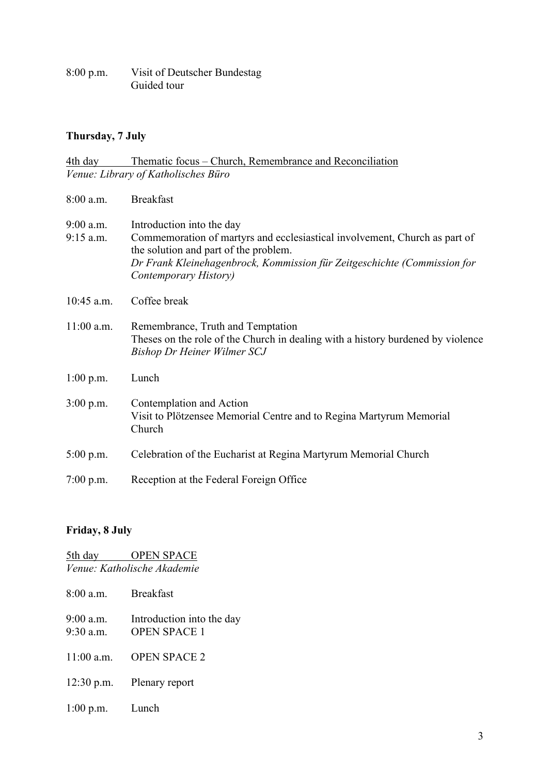8:00 p.m. Visit of Deutscher Bundestag Guided tour

#### **Thursday, 7 July**

| 4th day                  | Thematic focus – Church, Remembrance and Reconciliation                                                                                                                                                                                               |
|--------------------------|-------------------------------------------------------------------------------------------------------------------------------------------------------------------------------------------------------------------------------------------------------|
|                          | Venue: Library of Katholisches Büro                                                                                                                                                                                                                   |
| 8:00 a.m.                | <b>Breakfast</b>                                                                                                                                                                                                                                      |
| 9:00 a.m.<br>$9:15$ a.m. | Introduction into the day<br>Commemoration of martyrs and ecclesiastical involvement, Church as part of<br>the solution and part of the problem.<br>Dr Frank Kleinehagenbrock, Kommission für Zeitgeschichte (Commission for<br>Contemporary History) |
| 10:45 a.m.               | Coffee break                                                                                                                                                                                                                                          |
| $11:00$ a.m.             | Remembrance, Truth and Temptation<br>Theses on the role of the Church in dealing with a history burdened by violence<br><b>Bishop Dr Heiner Wilmer SCJ</b>                                                                                            |
| $1:00$ p.m.              | Lunch                                                                                                                                                                                                                                                 |
| $3:00$ p.m.              | Contemplation and Action<br>Visit to Plötzensee Memorial Centre and to Regina Martyrum Memorial<br>Church                                                                                                                                             |
| $5:00$ p.m.              | Celebration of the Eucharist at Regina Martyrum Memorial Church                                                                                                                                                                                       |
| $7:00$ p.m.              | Reception at the Federal Foreign Office                                                                                                                                                                                                               |

# **Friday, 8 July**

5th day **OPEN SPACE** *Venue: Katholische Akademie* 8:00 a.m. Breakfast 9:00 a.m. Introduction into the day 9:30 a.m. OPEN SPACE 1 11:00 a.m. OPEN SPACE 2 12:30 p.m. Plenary report 1:00 p.m. Lunch